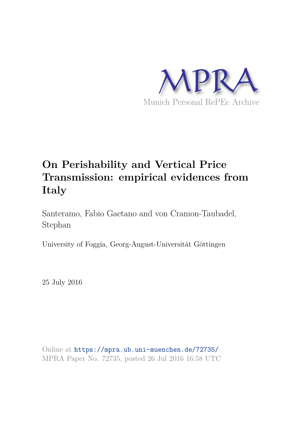

# **On Perishability and Vertical Price Transmission: empirical evidences from Italy**

Santeramo, Fabio Gaetano and von Cramon-Taubadel, Stephan

University of Foggia, Georg-August-Universität Göttingen

25 July 2016

Online at https://mpra.ub.uni-muenchen.de/72735/ MPRA Paper No. 72735, posted 26 Jul 2016 16:58 UTC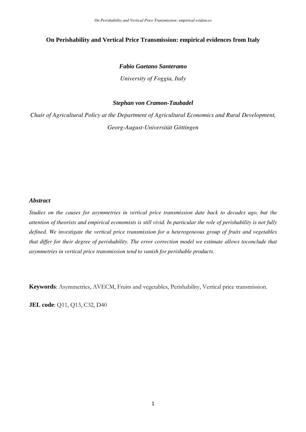## **On Perishability and Vertical Price Transmission: empirical evidences from Italy**

# *Fabio Gaetano Santeramo*

*University of Foggia, Italy* 

## *Stephan von Cramon-Taubadel*

*Chair of Agricultural Policy at the Department of Agricultural Economics and Rural Development, Georg-August-Universität Göttingen* 

## *Abstract*

*Studies on the causes for asymmetries in vertical price transmission date back to decades ago, but the attention of theorists and empirical economists is still vivid. In particular the role of perishability is not fully defined. We investigate the vertical price transmission for a heterogeneous group of fruits and vegetables that differ for their degree of perishability. The error correction model we estimate allows toconclude that asymmetries in vertical price transmission tend to vanish for perishable products.* 

Keywords: Asymmetries, AVECM, Fruits and vegetables, Perishability, Vertical price transmission.

**JEL code**: Q11, Q13, C32, D40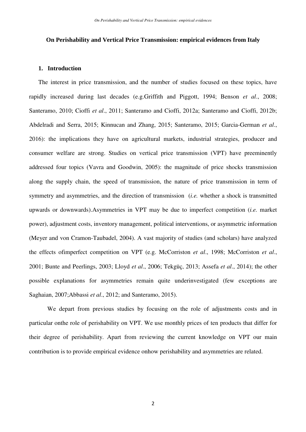## **On Perishability and Vertical Price Transmission: empirical evidences from Italy**

#### **1. Introduction**

The interest in price transmission, and the number of studies focused on these topics, have rapidly increased during last decades (e.g.Griffith and Piggott, 1994; Benson *et al*., 2008; Santeramo, 2010; Cioffi *et al*., 2011; Santeramo and Cioffi, 2012a; Santeramo and Cioffi, 2012b; Abdelradi and Serra, 2015; Kinnucan and Zhang, 2015; Santeramo, 2015; Garcia-German *et al*., 2016): the implications they have on agricultural markets, industrial strategies, producer and consumer welfare are strong. Studies on vertical price transmission (VPT) have preeminently addressed four topics (Vavra and Goodwin, 2005): the magnitude of price shocks transmission along the supply chain, the speed of transmission, the nature of price transmission in term of symmetry and asymmetries, and the direction of transmission (*i.e.* whether a shock is transmitted upwards or downwards).Asymmetries in VPT may be due to imperfect competition (*i.e.* market power), adjustment costs, inventory management, political interventions, or asymmetric information (Meyer and von Cramon-Taubadel, 2004). A vast majority of studies (and scholars) have analyzed the effects ofimperfect competition on VPT (e.g. McCorriston *et al*., 1998; McCorriston *et al*., 2001; Bunte and Peerlings, 2003; Lloyd *et al*., 2006; Tekgüç, 2013; Assefa *et al*., 2014); the other possible explanations for asymmetries remain quite underinvestigated (few exceptions are Saghaian, 2007;Abbassi *et al*., 2012; and Santeramo, 2015).

We depart from previous studies by focusing on the role of adjustments costs and in particular onthe role of perishability on VPT. We use monthly prices of ten products that differ for their degree of perishability. Apart from reviewing the current knowledge on VPT our main contribution is to provide empirical evidence onhow perishability and asymmetries are related.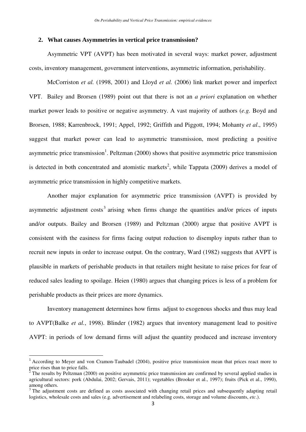#### **2. What causes Asymmetries in vertical price transmission?**

Asymmetric VPT (AVPT) has been motivated in several ways: market power, adjustment costs, inventory management, government interventions, asymmetric information, perishability.

McCorriston *et al.* (1998, 2001) and Lloyd *et al.* (2006) link market power and imperfect VPT. Bailey and Brorsen (1989) point out that there is not an *a priori* explanation on whether market power leads to positive or negative asymmetry. A vast majority of authors (*e.g.* Boyd and Brorsen, 1988; Karrenbrock, 1991; Appel, 1992; Griffith and Piggott, 1994; Mohanty *et al*., 1995) suggest that market power can lead to asymmetric transmission, most predicting a positive asymmetric price transmission<sup>1</sup>. Peltzman (2000) shows that positive asymmetric price transmission is detected in both concentrated and atomistic markets<sup>2</sup>, while Tappata  $(2009)$  derives a model of asymmetric price transmission in highly competitive markets.

Another major explanation for asymmetric price transmission (AVPT) is provided by asymmetric adjustment costs<sup>3</sup> arising when firms change the quantities and/or prices of inputs and/or outputs. Bailey and Brorsen (1989) and Peltzman (2000) argue that positive AVPT is consistent with the easiness for firms facing output reduction to disemploy inputs rather than to recruit new inputs in order to increase output. On the contrary, Ward (1982) suggests that AVPT is plausible in markets of perishable products in that retailers might hesitate to raise prices for fear of reduced sales leading to spoilage. Heien (1980) argues that changing prices is less of a problem for perishable products as their prices are more dynamics.

Inventory management determines how firms adjust to exogenous shocks and thus may lead to AVPT(Balke *et al.*, 1998). Blinder (1982) argues that inventory management lead to positive AVPT: in periods of low demand firms will adjust the quantity produced and increase inventory

 $\overline{a}$ 

<sup>&</sup>lt;sup>1</sup> According to Meyer and von Cramon-Taubadel (2004), positive price transmission mean that prices react more to price rises than to price falls.

 $\bar{2}$  The results by Peltzman (2000) on positive asymmetric price transmission are confirmed by several applied studies in agricultural sectors: pork (Abdulai, 2002; Gervais, 2011); vegetables (Brooker et al., 1997); fruits (Pick et al., 1990), among others.

<sup>&</sup>lt;sup>3</sup> The adjustment costs are defined as costs associated with changing retail prices and subsequently adapting retail logistics, wholesale costs and sales (e.g. advertisement and relabeling costs, storage and volume discounts, *etc*.).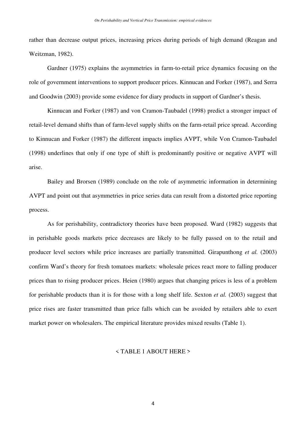rather than decrease output prices, increasing prices during periods of high demand (Reagan and Weitzman, 1982).

Gardner (1975) explains the asymmetries in farm-to-retail price dynamics focusing on the role of government interventions to support producer prices. Kinnucan and Forker (1987), and Serra and Goodwin (2003) provide some evidence for diary products in support of Gardner's thesis.

Kinnucan and Forker (1987) and von Cramon-Taubadel (1998) predict a stronger impact of retail-level demand shifts than of farm-level supply shifts on the farm-retail price spread. According to Kinnucan and Forker (1987) the different impacts implies AVPT, while Von Cramon-Taubadel (1998) underlines that only if one type of shift is predominantly positive or negative AVPT will arise.

Bailey and Brorsen (1989) conclude on the role of asymmetric information in determining AVPT and point out that asymmetries in price series data can result from a distorted price reporting process.

As for perishability, contradictory theories have been proposed. Ward (1982) suggests that in perishable goods markets price decreases are likely to be fully passed on to the retail and producer level sectors while price increases are partially transmitted. Girapunthong *et al.* (2003) confirm Ward's theory for fresh tomatoes markets: wholesale prices react more to falling producer prices than to rising producer prices. Heien (1980) argues that changing prices is less of a problem for perishable products than it is for those with a long shelf life. Sexton *et al.* (2003) suggest that price rises are faster transmitted than price falls which can be avoided by retailers able to exert market power on wholesalers. The empirical literature provides mixed results (Table 1).

#### < TABLE 1 ABOUT HERE >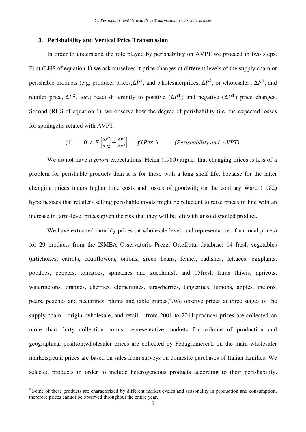#### 3. **Perishability and Vertical Price Transmission**

In order to understand the role played by perishability on AVPT we proceed in two steps. First (LHS of equation 1) we ask ourselves if price changes at different levels of the supply chain of perishable products (e.g. producer prices,  $\Delta P^1$ , and wholesalerprices,  $\Delta P^2$ , or wholesaler,  $\Delta P^1$ , and retailer price,  $\Delta P^2$ , *etc*.) react differently to positive  $(\Delta P_+^1)$  and negative  $(\Delta P_-^1)$  price changes. Second (RHS of equation 1), we observe how the degree of perishability (i.e. the expected losses for spoilage)is related with AVPT:

(1) 
$$
0 \neq E \left[ \frac{\Delta P^2}{\Delta P_+^1} - \frac{\Delta P^2}{\Delta P_-^1} \right] = f(Per.)
$$
 (Perishability and AVPT)

We do not have *a priori* expectations: Heien (1980) argues that changing prices is less of a problem for perishable products than it is for those with a long shelf life, because for the latter changing prices incurs higher time costs and losses of goodwill; on the contrary Ward (1982) hypothesizes that retailers selling perishable goods might be reluctant to raise prices in line with an increase in farm-level prices given the risk that they will be left with unsold spoiled product.

We have extracted monthly prices (at wholesale level, and representative of national prices) for 29 products from the ISMEA Osservatorio Prezzi Ortofrutta database: 14 fresh vegetables (artichokes, carrots, cauliflowers, onions, green beans, fennel, radishes, lettuces, eggplants, potatoes, peppers, tomatoes, spinaches and zucchinis), and 15fresh fruits (kiwis, apricots, watermelons, oranges, cherries, clementines, strawberries, tangerines, lemons, apples, melons, pears, peaches and nectarines, plums and table grapes)<sup>4</sup>. We observe prices at three stages of the supply chain - origin, wholesale, and retail – from 2001 to 2011: producer prices are collected on more than thirty collection points, representative markets for volume of production and geographical position;wholesaler prices are collected by Fedagromercati on the main wholesaler markets;retail prices are based on sales from surveys on domestic purchases of Italian families. We selected products in order to include heterogeneous products according to their perishability,

l

<sup>&</sup>lt;sup>4</sup> Some of these products are characterized by different market cycles and seasonality in production and consumption, therefore prices cannot be observed throughout the entire year.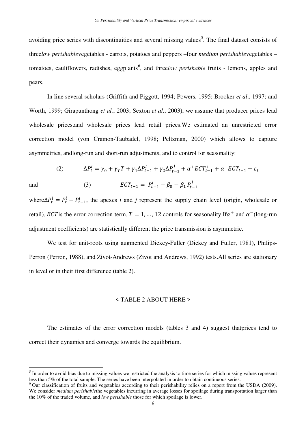avoiding price series with discontinuities and several missing values<sup>5</sup>. The final dataset consists of three*low perishable*vegetables - carrots, potatoes and peppers –four *medium perishable*vegetables – tomatoes, cauliflowers, radishes, eggplants<sup>6</sup>, and threelow perishable fruits - lemons, apples and pears.

In line several scholars (Griffith and Piggott, 1994; Powers, 1995; Brooker *et al*., 1997; and Worth, 1999; Girapunthong *et al.*, 2003; Sexton *et al.*, 2003), we assume that producer prices lead wholesale prices,and wholesale prices lead retail prices.We estimated an unrestricted error correction model (von Cramon-Taubadel, 1998; Peltzman, 2000) which allows to capture asymmetries, andlong-run and short-run adjustments, and to control for seasonality:

(2) 
$$
\Delta P_t^i = \gamma_0 + \gamma_T T + \gamma_1 \Delta P_{t-1}^i + \gamma_2 \Delta P_{t-1}^j + \alpha^+ E C T_{t-1}^+ + \alpha^- E C T_{t-1}^- + \varepsilon_t
$$

j

and (3)  $ECT_{t-1} = P_{t-1}^i - \beta_0 - \beta_1 P_{t-1}^j$ 

 $\overline{a}$ 

where 
$$
\Delta P_t^i = P_t^i - P_{t-1}^i
$$
, the apexes *i* and *j* represent the supply chain level (origin, wholesale or  
retail), *ECT* is the error correction term,  $T = 1, ..., 12$  controls for seasonality.  
If  $\alpha^+$  and  $\alpha^-$  (long-run  
adjustment coefficients) are statistically different the price transmission is asymmetric.

We test for unit-roots using augmented Dickey-Fuller (Dickey and Fuller, 1981), Philips-Perron (Perron, 1988), and Zivot-Andrews (Zivot and Andrews, 1992) tests.All series are stationary in level or in their first difference (table 2).

#### < TABLE 2 ABOUT HERE >

The estimates of the error correction models (tables 3 and 4) suggest thatprices tend to correct their dynamics and converge towards the equilibrium.

 $<sup>5</sup>$  In order to avoid bias due to missing values we restricted the analysis to time series for which missing values represent</sup> less than 5% of the total sample. The series have been interpolated in order to obtain continuous series.

<sup>&</sup>lt;sup>6</sup> Our classification of fruits and vegetables according to their perishability relies on a report from the USDA (2009). We consider *medium perishable*the vegetables incurring in average losses for spoilage during transportation larger than the 10% of the traded volume, and *low perishable* those for which spoilage is lower.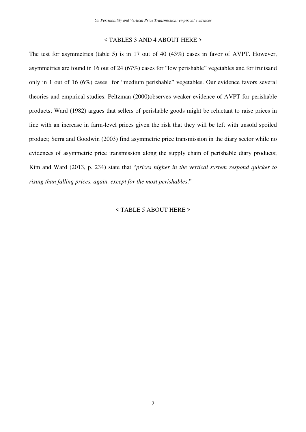## < TABLES 3 AND 4 ABOUT HERE >

The test for asymmetries (table 5) is in 17 out of 40 (43%) cases in favor of AVPT. However, asymmetries are found in 16 out of 24 (67%) cases for "low perishable" vegetables and for fruitsand only in 1 out of 16 (6%) cases for "medium perishable" vegetables. Our evidence favors several theories and empirical studies: Peltzman (2000)observes weaker evidence of AVPT for perishable products; Ward (1982) argues that sellers of perishable goods might be reluctant to raise prices in line with an increase in farm-level prices given the risk that they will be left with unsold spoiled product; Serra and Goodwin (2003) find asymmetric price transmission in the diary sector while no evidences of asymmetric price transmission along the supply chain of perishable diary products; Kim and Ward (2013, p. 234) state that "*prices higher in the vertical system respond quicker to rising than falling prices, again, except for the most perishables*."

#### < TABLE 5 ABOUT HERE >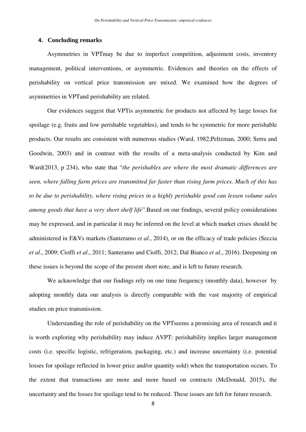## **4. Concluding remarks**

Asymmetries in VPTmay be due to imperfect competition, adjustment costs, inventory management, political interventions, or asymmetric. Evidences and theories on the effects of perishability on vertical price transmission are mixed. We examined how the degrees of asymmetries in VPTand perishability are related.

Our evidences suggest that VPTis asymmetric for products not affected by large losses for spoilage (e.g. fruits and low perishable vegetables), and tends to be symmetric for more perishable products. Our results are consistent with numerous studies (Ward, 1982;Peltzman, 2000; Serra and Goodwin, 2003) and in contrast with the results of a meta-analysis conducted by Kim and Ward(2013, p 234), who state that "*the perishables are where the most dramatic differences are seen, where falling farm prices are transmitted far faster than rising farm prices. Much of this has to be due to perishability, where rising prices in a highly perishable good can lessen volume sales among goods that have a very short shelf life*".Based on our findings, several policy considerations may be expressed, and in particular it may be inferred on the level at which market crises should be administered in F&Vs markets (Santeramo *et al*., 2014), or on the efficacy of trade policies (Seccia *et al*., 2009; Cioffi *et al*., 2011; Santeramo and Cioffi, 2012; Dal Bianco *et al*., 2016). Deepening on these issues is beyond the scope of the present short note, and is left to future research.

We acknowledge that our findings rely on one time frequency (monthly data), however by adopting monthly data our analysis is directly comparable with the vast majority of empirical studies on price transmission.

Understanding the role of perishability on the VPTseems a promising area of research and it is worth exploring why perishability may induce AVPT: perishability implies larger management costs (i.e. specific logistic, refrigeration, packaging, etc.) and increase uncertainty (i.e. potential losses for spoilage reflected in lower price and/or quantity sold) when the transportation occurs. To the extent that transactions are more and more based on contracts (McDonald, 2015), the uncertainty and the losses for spoilage tend to be reduced. These issues are left for future research.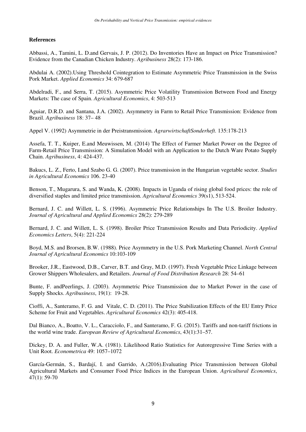## **References**

Abbassi, A., Tamini, L. D.and Gervais, J. P. (2012). Do Inventories Have an Impact on Price Transmission? Evidence from the Canadian Chicken Industry. *Agribusiness* 28(2): 173-186.

Abdulai A. (2002).Using Threshold Cointegration to Estimate Asymmetric Price Transmission in the Swiss Pork Market. *Applied Economics* 34: 679-687

Abdelradi, F., and Serra, T. (2015). Asymmetric Price Volatility Transmission Between Food and Energy Markets: The case of Spain. *Agricultural Economics*, 4: 503-513

Aguiar, D.R.D. and Santana, J.A. (2002). Asymmetry in Farm to Retail Price Transmission: Evidence from Brazil. *Agribusiness* 18: 37– 48

Appel V. (1992) Asymmetrie in der Preistransmission*. AgrarwirtschaftSonderheft.* 135:178-213

Assefa, T. T., Kuiper, E.and Meuwissen, M. (2014) The Effect of Farmer Market Power on the Degree of Farm-Retail Price Transmission: A Simulation Model with an Application to the Dutch Ware Potato Supply Chain. *Agribusiness*, 4: 424-437.

Bakucs, L. Z., Ferto, I.and Szabo G. G. (2007). Price transmission in the Hungarian vegetable sector. *Studies in Agricultural Economics* 106. 23-40

Benson, T., Mugarura, S. and Wanda, K. (2008). Impacts in Uganda of rising global food prices: the role of diversified staples and limited price transmission. *Agricultural Economics* 39(s1), 513-524.

Bernard, J. C. and Willett, L. S. (1996). Asymmetric Price Relationships In The U.S. Broiler Industry. *Journal of Agricultural and Applied Economics* 28(2): 279-289

Bernard, J. C. and Willett, L. S. (1998). Broiler Price Transmission Results and Data Periodicity. *Applied Economics Letters*, 5(4): 221-224

Boyd, M.S. and Brorsen, B.W. (1988). Price Asymmetry in the U.S. Pork Marketing Channel. *North Central Journal of Agricultural Economics* 10:103-109

Brooker, J.R., Eastwood, D.B., Carver, B.T. and Gray, M.D. (1997). Fresh Vegetable Price Linkage between Grower Shippers Wholesalers, and Retailers. *Journal of Food Distribution Research* 28: 54–61

Bunte, F. andPeerlings, J. (2003). Asymmetric Price Transmission due to Market Power in the case of Supply Shocks. *Agribusiness*, 19(1): 19-28.

Cioffi, A., Santeramo, F. G. and Vitale, C. D. (2011). The Price Stabilization Effects of the EU Entry Price Scheme for Fruit and Vegetables. *Agricultural Economics* 42(3): 405-418.

Dal Bianco, A., Boatto, V. L., Caracciolo, F., and Santeramo, F. G. (2015). Tariffs and non-tariff frictions in the world wine trade. *European Review of Agricultural Economics*, 43(1):31–57.

Dickey, D. A. and Fuller, W.A. (1981). Likelihood Ratio Statistics for Autoregressive Time Series with a Unit Root. *Econometrica* 49: 1057–1072

García-Germán, S., Bardají, I. and Garrido, A.(2016).Evaluating Price Transmission between Global Agricultural Markets and Consumer Food Price Indices in the European Union. *Agricultural Economics*, 47(1): 59-70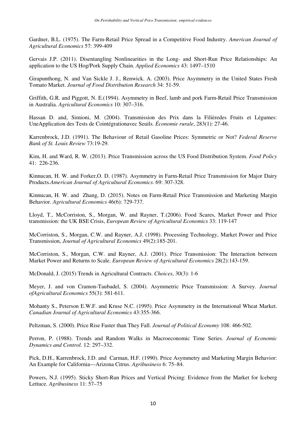Gardner, B.L. (1975). The Farm-Retail Price Spread in a Competitive Food Industry. *American Journal of Agricultural Economics* 57: 399-409

Gervais J.P. (2011). Disentangling Nonlinearities in the Long- and Short-Run Price Relationships: An application to the US Hog/Pork Supply Chain. *Applied Economics* 43: 1497–1510

Girapunthong, N. and Van Sickle J. J., Renwick. A. (2003). Price Asymmetry in the United States Fresh Tomato Market. *Journal of Food Distribution Research* 34: 51-59.

Griffith, G.R. and Piggott, N. E.(1994). Asymmetry in Beef, lamb and pork Farm-Retail Price Transmission in Australia. *Agricultural Economics* 10: 307–316.

Hassan D. and, Simioni, M. (2004). Transmission des Prix dans la Filièredes Fruits et Légumes: UneApplication des Tests de Cointégrationavec Seuils. *Économie rurale*, 283(1): 27-46.

Karrenbrock, J.D. (1991). The Behaviour of Retail Gasoline Prices: Symmetric or Not? *Federal Reserve Bank of St. Louis Review* 73:19-29.

Kim, H. and Ward, R. W. (2013). Price Transmission across the US Food Distribution System. *Food Policy* 41: 226-236.

Kinnucan, H. W. and Forker,O. D. (1987). Asymmetry in Farm-Retail Price Transmission for Major Dairy Products.*American Journal of Agricultural Economics*. 69: 307-328.

Kinnucan, H. W. and Zhang, D. (2015). Notes on Farm-Retail Price Transmission and Marketing Margin Behavior*. Agricultural Economics* 46(6): 729-737.

Lloyd, T., McCorriston, S., Morgan, W. and Rayner, T.(2006). Food Scares, Market Power and Price transmission: the UK BSE Crisis, *European Review of Agricultural Economics* 33: 119-147

McCorriston, S., Morgan, C.W. and Rayner, A.J. (1998). Processing Technology, Market Power and Price Transmission, *Journal of Agricultural Economics* 49(2):185-201.

McCorriston, S., Morgan, C.W. and Rayner, A.J. (2001). Price Transmission: The Interaction between Market Power and Returns to Scale. *European Review of Agricultural Economics* 28(2):143-159.

McDonald, J. (2015) Trends in Agricultural Contracts. *Choices*, 30(3): 1-6

Meyer, J. and von Cramon-Taubadel, S. (2004). Asymmetric Price Transmission: A Survey. *Journal ofAgricultural Economics* 55(3): 581-611.

Mohanty S., Peterson E.W.F. and Kruse N.C. (1995). Price Asymmetry in the International Wheat Market. *Canadian Journal of Agricultural Economics* 43:355-366.

Peltzman, S. (2000). Price Rise Faster than They Fall. *Journal of Political Economy* 108: 466-502.

Perron, P. (1988). Trends and Random Walks in Macroeconomic Time Series. *Journal of Economic Dynamics and Control.* 12: 297–332.

Pick, D.H., Karrenbrock, J.D. and Carman, H.F. (1990). Price Asymmetry and Marketing Margin Behavior: An Example for California—Arizona Citrus. *Agribusiness* 6: 75–84.

Powers, N.J. (1995). Sticky Short-Run Prices and Vertical Pricing: Evidence from the Market for Iceberg Lettuce. *Agribusiness* 11: 57–75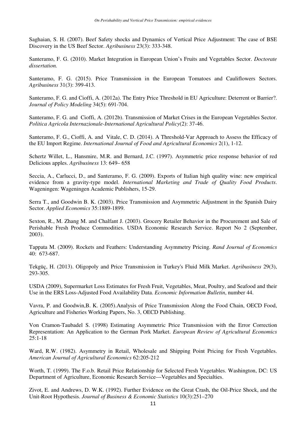Saghaian, S. H. (2007). Beef Safety shocks and Dynamics of Vertical Price Adjustment: The case of BSE Discovery in the US Beef Sector. *Agribusiness* 23(3): 333-348.

Santeramo, F. G. (2010). Market Integration in European Union's Fruits and Vegetables Sector. *Doctorate dissertation.*

Santeramo, F. G. (2015). Price Transmission in the European Tomatoes and Cauliflowers Sectors. *Agribusiness* 31(3): 399-413.

Santeramo, F. G. and Cioffi, A. (2012a). The Entry Price Threshold in EU Agriculture: Deterrent or Barrier?. *Journal of Policy Modeling* 34(5): 691-704.

Santeramo, F. G. and Cioffi, A. (2012b). Transmission of Market Crises in the European Vegetables Sector. *Politica Agricola Internazionale-International Agricultural Policy*(2): 37-46.

Santeramo, F. G., Cioffi, A. and Vitale, C. D. (2014). A Threshold-Var Approach to Assess the Efficacy of the EU Import Regime. *International Journal of Food and Agricultural Economics* 2(1), 1-12.

Schertz Willet, L., Hansmire, M.R. and Bernard, J.C. (1997). Asymmetric price response behavior of red Delicious apples. *Agribusiness* 13: 649– 658

Seccia, A., Carlucci, D., and Santeramo, F. G. (2009). Exports of Italian high quality wine: new empirical evidence from a gravity-type model. *International Marketing and Trade of Quality Food Products*. Wageningen: Wageningen Academic Publishers, 15-29.

Serra T., and Goodwin B. K. (2003). Price Transmission and Asymmetric Adjustment in the Spanish Dairy Sector. *Applied Economics* 35:1889-1899.

Sexton, R., M. Zhang M. and Chalfant J. (2003). Grocery Retailer Behavior in the Procurement and Sale of Perishable Fresh Produce Commodities. USDA Economic Research Service. Report No 2 (September, 2003).

Tappata M. (2009). Rockets and Feathers: Understanding Asymmetry Pricing. *Rand Journal of Economics* 40: 673-687.

Tekgüç, H. (2013). Oligopoly and Price Transmission in Turkey's Fluid Milk Market. *Agribusiness* 29(3), 293-305.

USDA (2009), Supermarket Loss Estimates for Fresh Fruit, Vegetables, Meat, Poultry, and Seafood and their Use in the ERS Loss-Adjusted Food Availability Data. *Economic Information Bulletin*, number 44.

Vavra, P. and Goodwin,B. K. (2005).Analysis of Price Transmission Along the Food Chain, OECD Food, Agriculture and Fisheries Working Papers, No. 3, OECD Publishing.

Von Cramon-Taubadel S. (1998) Estimating Asymmetric Price Transmission with the Error Correction Representation: An Application to the German Pork Market. *European Review of Agricultural Economics* 25:1-18

Ward, R.W. (1982). Asymmetry in Retail, Wholesale and Shipping Point Pricing for Fresh Vegetables. *American Journal of Agricultural Economics* 62:205-212

Worth, T. (1999). The F.o.b. Retail Price Relationship for Selected Fresh Vegetables. Washington, DC: US Department of Agriculture, Economic Research Service—Vegetables and Specialties.

Zivot, E. and Andrews, D. W.K. (1992). Further Evidence on the Great Crash, the Oil-Price Shock, and the Unit-Root Hypothesis. *Journal of Business & Economic Statistics* 10(3):251–270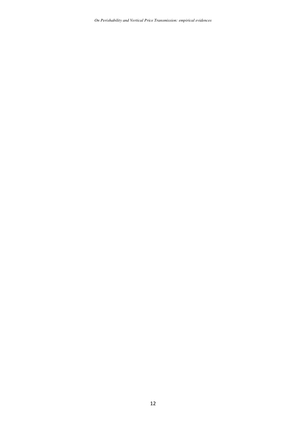*On Perishability and Vertical Price Transmission: empirical evidences*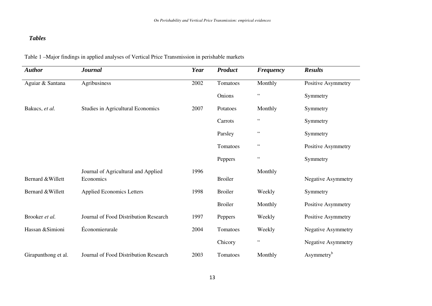## *Tables*

| <b>Author</b>       | <b>Journal</b>                           | Year | <b>Product</b> | <b>Frequency</b> | <b>Results</b>            |
|---------------------|------------------------------------------|------|----------------|------------------|---------------------------|
| Aguiar & Santana    | Agribusiness                             | 2002 | Tomatoes       | Monthly          | Positive Asymmetry        |
|                     |                                          |      | Onions         | $\zeta\,\zeta$   | Symmetry                  |
| Bakucs, et al.      | <b>Studies in Agricultural Economics</b> | 2007 | Potatoes       | Monthly          | Symmetry                  |
|                     |                                          |      | Carrots        | $\zeta\,\zeta$   | Symmetry                  |
|                     |                                          |      | Parsley        | $\zeta\,\zeta$   | Symmetry                  |
|                     |                                          |      | Tomatoes       | $\zeta$ $\zeta$  | Positive Asymmetry        |
|                     |                                          |      | Peppers        | $\zeta\,\zeta$   | Symmetry                  |
|                     | Journal of Agricultural and Applied      | 1996 |                | Monthly          |                           |
| Bernard & Willett   | Economics                                |      | <b>Broiler</b> |                  | <b>Negative Asymmetry</b> |
| Bernard & Willett   | <b>Applied Economics Letters</b>         | 1998 | <b>Broiler</b> | Weekly           | Symmetry                  |
|                     |                                          |      | <b>Broiler</b> | Monthly          | Positive Asymmetry        |
| Brooker et al.      | Journal of Food Distribution Research    | 1997 | Peppers        | Weekly           | Positive Asymmetry        |
| Hassan &Simioni     | Économierurale                           | 2004 | Tomatoes       | Weekly           | <b>Negative Asymmetry</b> |
|                     |                                          |      | Chicory        | $\zeta$ $\zeta$  | <b>Negative Asymmetry</b> |
| Girapunthong et al. | Journal of Food Distribution Research    | 2003 | Tomatoes       | Monthly          | Asymmetry <sup>b</sup>    |

Table 1 –Major findings in applied analyses of Vertical Price Transmission in perishable markets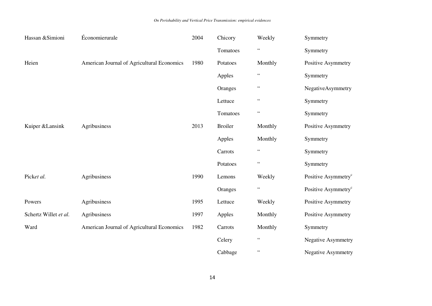| Hassan &Simioni       | Économierurale                             | 2004 | Chicory        | Weekly          | Symmetry                        |
|-----------------------|--------------------------------------------|------|----------------|-----------------|---------------------------------|
|                       |                                            |      | Tomatoes       | $\zeta$ $\zeta$ | Symmetry                        |
| Heien                 | American Journal of Agricultural Economics | 1980 | Potatoes       | Monthly         | Positive Asymmetry              |
|                       |                                            |      | Apples         | $\zeta\,\zeta$  | Symmetry                        |
|                       |                                            |      | Oranges        | $\zeta\,\zeta$  | NegativeAsymmetry               |
|                       |                                            |      | Lettuce        | $\zeta\,\zeta$  | Symmetry                        |
|                       |                                            |      | Tomatoes       | $\zeta\,\zeta$  | Symmetry                        |
| Kuiper & Lansink      | Agribusiness                               | 2013 | <b>Broiler</b> | Monthly         | Positive Asymmetry              |
|                       |                                            |      | Apples         | Monthly         | Symmetry                        |
|                       |                                            |      | Carrots        | $\zeta\,\zeta$  | Symmetry                        |
|                       |                                            |      | Potatoes       | $\zeta\,\zeta$  | Symmetry                        |
| Picket al.            | Agribusiness                               | 1990 | Lemons         | Weekly          | Positive Asymmetry <sup>c</sup> |
|                       |                                            |      | Oranges        | $\zeta\,\zeta$  | Positive Asymmetry <sup>c</sup> |
| Powers                | Agribusiness                               | 1995 | Lettuce        | Weekly          | Positive Asymmetry              |
| Schertz Willet et al. | Agribusiness                               | 1997 | Apples         | Monthly         | Positive Asymmetry              |
| Ward                  | American Journal of Agricultural Economics | 1982 | Carrots        | Monthly         | Symmetry                        |
|                       |                                            |      | Celery         | $\zeta\,\zeta$  | <b>Negative Asymmetry</b>       |
|                       |                                            |      |                |                 |                                 |

Cabbage " Negative Asymmetry

14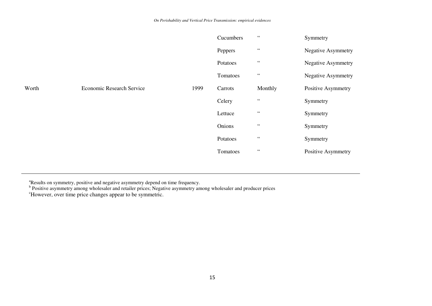|       |                                  |      | Cucumbers | $\zeta\,\zeta$         | Symmetry                  |
|-------|----------------------------------|------|-----------|------------------------|---------------------------|
|       |                                  |      | Peppers   | $\zeta$ $\zeta$        | <b>Negative Asymmetry</b> |
|       |                                  |      | Potatoes  | $\zeta\,\zeta$         | <b>Negative Asymmetry</b> |
|       |                                  |      | Tomatoes  | $\zeta$ $\zeta$        | <b>Negative Asymmetry</b> |
| Worth | <b>Economic Research Service</b> | 1999 | Carrots   | Monthly                | Positive Asymmetry        |
|       |                                  |      | Celery    | $\leftrightsquigarrow$ | Symmetry                  |
|       |                                  |      | Lettuce   | $\leftrightsquigarrow$ | Symmetry                  |
|       |                                  |      | Onions    |                        | Symmetry                  |
|       |                                  |      | Potatoes  | $\zeta$ $\zeta$        | Symmetry                  |
|       |                                  |      | Tomatoes  | $\zeta$ $\zeta$        | Positive Asymmetry        |
|       |                                  |      |           |                        |                           |

<sup>a</sup>Results on symmetry, positive and negative asymmetry depend on time frequency.<br><sup>b</sup> Positive asymmetry among wholesaler and retailer prices; Negative asymmetry among wholesaler and producer prices

<sup>c</sup>However, over time price changes appear to be symmetric.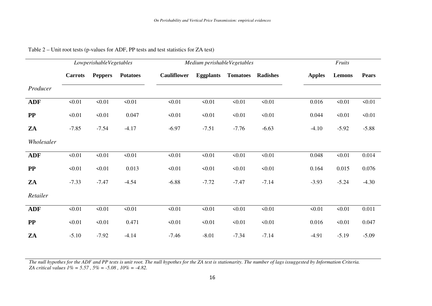|            | LowperishableVegetables |                |                 | Medium perishableVegetables |                  |                 |                 | Fruits        |               |              |  |
|------------|-------------------------|----------------|-----------------|-----------------------------|------------------|-----------------|-----------------|---------------|---------------|--------------|--|
|            | <b>Carrots</b>          | <b>Peppers</b> | <b>Potatoes</b> | <b>Cauliflower</b>          | <b>Eggplants</b> | <b>Tomatoes</b> | <b>Radishes</b> | <b>Apples</b> | <b>Lemons</b> | <b>Pears</b> |  |
| Producer   |                         |                |                 |                             |                  |                 |                 |               |               |              |  |
| <b>ADF</b> | 50.01                   | 50.01          | 50.01           | 50.01                       | 50.01            | 50.01           | 50.01           | 0.016         | < 0.01        | < 0.01       |  |
| $\bf PP$   | 50.01                   | 50.01          | 0.047           | 50.01                       | 50.01            | 50.01           | 50.01           | 0.044         | 50.01         | 50.01        |  |
| ZA         | $-7.85$                 | $-7.54$        | $-4.17$         | $-6.97$                     | $-7.51$          | $-7.76$         | $-6.63$         | $-4.10$       | $-5.92$       | $-5.88$      |  |
| Wholesaler |                         |                |                 |                             |                  |                 |                 |               |               |              |  |
| <b>ADF</b> | 50.01                   | 50.01          | 50.01           | 50.01                       | 50.01            | 50.01           | 50.01           | 0.048         | 50.01         | 0.014        |  |
| $\bf PP$   | 50.01                   | 50.01          | 0.013           | 50.01                       | 50.01            | 50.01           | 50.01           | 0.164         | 0.015         | 0.076        |  |
| ZA         | $-7.33$                 | $-7.47$        | $-4.54$         | $-6.88$                     | $-7.72$          | $-7.47$         | $-7.14$         | $-3.93$       | $-5.24$       | $-4.30$      |  |
| Retailer   |                         |                |                 |                             |                  |                 |                 |               |               |              |  |
| <b>ADF</b> | 50.01                   | 50.01          | 50.01           | 50.01                       | 50.01            | 50.01           | 50.01           | 50.01         | 50.01         | 0.011        |  |
| $\bf PP$   | 50.01                   | 50.01          | 0.471           | 50.01                       | 50.01            | 50.01           | 50.01           | 0.016         | 50.01         | 0.047        |  |
| ZA         | $-5.10$                 | $-7.92$        | $-4.14$         | $-7.46$                     | $-8.01$          | $-7.34$         | $-7.14$         | $-4.91$       | $-5.19$       | $-5.09$      |  |

Table 2 – Unit root tests (p-values for ADF, PP tests and test statistics for ZA test)

*The null hypothes for the ADF and PP tests is unit root. The null hypothes for the ZA test is stationarity. The number of lags issuggested by Information Criteria. ZA critical values 1% = 5.57 , 5% = -5.08 , 10% = -4.82.*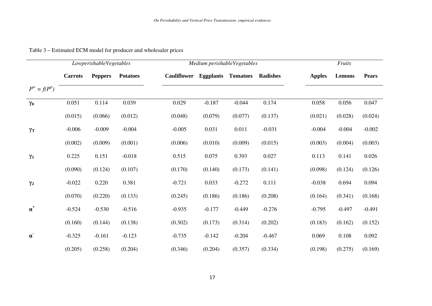Table 3 – Estimated ECM model for producer and wholesaler prices

|                    | LowperishableVegetables |                |                 |                              | Medium perishableVegetables |                 |                 |               | Fruits        |              |  |  |
|--------------------|-------------------------|----------------|-----------------|------------------------------|-----------------------------|-----------------|-----------------|---------------|---------------|--------------|--|--|
|                    | <b>Carrots</b>          | <b>Peppers</b> | <b>Potatoes</b> | <b>Cauliflower Eggplants</b> |                             | <b>Tomatoes</b> | <b>Radishes</b> | <b>Apples</b> | <b>Lemons</b> | <b>Pears</b> |  |  |
| $P^w = f(P^p)$     |                         |                |                 |                              |                             |                 |                 |               |               |              |  |  |
| $\gamma_0$         | 0.051                   | 0.114          | 0.039           | 0.029                        | $-0.187$                    | $-0.044$        | 0.174           | 0.058         | 0.056         | 0.047        |  |  |
|                    | (0.015)                 | (0.066)        | (0.012)         | (0.048)                      | (0.079)                     | (0.077)         | (0.137)         | (0.021)       | (0.028)       | (0.024)      |  |  |
| $\gamma_T$         | $-0.006$                | $-0.009$       | $-0.004$        | $-0.005$                     | 0.031                       | 0.011           | $-0.031$        | $-0.004$      | $-0.004$      | $-0.002$     |  |  |
|                    | (0.002)                 | (0.009)        | (0.001)         | (0.006)                      | (0.010)                     | (0.009)         | (0.015)         | (0.003)       | (0.004)       | (0.003)      |  |  |
| $\gamma_1$         | 0.225                   | 0.151          | $-0.018$        | 0.515                        | 0.075                       | 0.393           | 0.027           | 0.113         | 0.141         | 0.026        |  |  |
|                    | (0.090)                 | (0.124)        | (0.107)         | (0.170)                      | (0.140)                     | (0.173)         | (0.141)         | (0.098)       | (0.124)       | (0.126)      |  |  |
| $\gamma_2$         | $-0.022$                | 0.220          | 0.381           | $-0.721$                     | 0.033                       | $-0.272$        | 0.111           | $-0.038$      | 0.694         | 0.094        |  |  |
|                    | (0.070)                 | (0.220)        | (0.133)         | (0.245)                      | (0.186)                     | (0.186)         | (0.208)         | (0.164)       | (0.341)       | (0.168)      |  |  |
| $\boldsymbol{a}^+$ | $-0.524$                | $-0.530$       | $-0.516$        | $-0.935$                     | $-0.177$                    | $-0.449$        | $-0.276$        | $-0.795$      | $-0.497$      | $-0.491$     |  |  |
|                    | (0.160)                 | (0.144)        | (0.138)         | (0.302)                      | (0.173)                     | (0.314)         | (0.202)         | (0.183)       | (0.162)       | (0.152)      |  |  |
| $\alpha$           | $-0.325$                | $-0.161$       | $-0.123$        | $-0.735$                     | $-0.142$                    | $-0.204$        | $-0.467$        | 0.069         | 0.108         | 0.092        |  |  |
|                    | (0.205)                 | (0.258)        | (0.204)         | (0.346)                      | (0.204)                     | (0.357)         | (0.334)         | (0.198)       | (0.275)       | (0.169)      |  |  |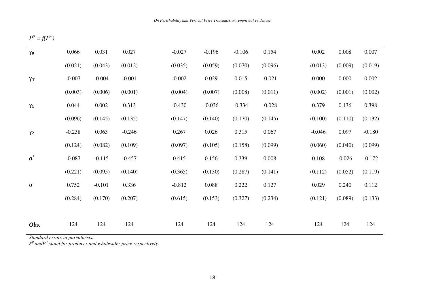$P^p = f(P^w)$ 

| $\gamma_0$            | 0.066    | 0.031    | 0.027    | $-0.027$ | $-0.196$ | $-0.106$ | 0.154    | 0.002    | 0.008    | 0.007    |
|-----------------------|----------|----------|----------|----------|----------|----------|----------|----------|----------|----------|
|                       | (0.021)  | (0.043)  | (0.012)  | (0.035)  | (0.059)  | (0.070)  | (0.096)  | (0.013)  | (0.009)  | (0.019)  |
| $\gamma_T$            | $-0.007$ | $-0.004$ | $-0.001$ | $-0.002$ | 0.029    | 0.015    | $-0.021$ | 0.000    | 0.000    | 0.002    |
|                       | (0.003)  | (0.006)  | (0.001)  | (0.004)  | (0.007)  | (0.008)  | (0.011)  | (0.002)  | (0.001)  | (0.002)  |
| $\gamma_1$            | 0.044    | 0.002    | 0.313    | $-0.430$ | $-0.036$ | $-0.334$ | $-0.028$ | 0.379    | 0.136    | 0.398    |
|                       | (0.096)  | (0.145)  | (0.135)  | (0.147)  | (0.140)  | (0.170)  | (0.145)  | (0.100)  | (0.110)  | (0.132)  |
| $\gamma_2$            | $-0.238$ | 0.063    | $-0.246$ | 0.267    | 0.026    | 0.315    | 0.067    | $-0.046$ | 0.097    | $-0.180$ |
|                       | (0.124)  | (0.082)  | (0.109)  | (0.097)  | (0.105)  | (0.158)  | (0.099)  | (0.060)  | (0.040)  | (0.099)  |
| $\alpha^+$            | $-0.087$ | $-0.115$ | $-0.457$ | 0.415    | 0.156    | 0.339    | 0.008    | 0.108    | $-0.026$ | $-0.172$ |
|                       | (0.221)  | (0.095)  | (0.140)  | (0.365)  | (0.130)  | (0.287)  | (0.141)  | (0.112)  | (0.052)  | (0.119)  |
| $\alpha$ <sup>-</sup> | 0.752    | $-0.101$ | 0.336    | $-0.812$ | 0.088    | 0.222    | 0.127    | 0.029    | 0.240    | 0.112    |
|                       | (0.284)  | (0.170)  | (0.207)  | (0.615)  | (0.153)  | (0.327)  | (0.234)  | (0.121)  | (0.089)  | (0.133)  |
|                       |          |          |          |          |          |          |          |          |          |          |
| Obs.                  | 124      | 124      | 124      | 124      | 124      | 124      | 124      | 124      | 124      | 124      |

*Standard errors in parenthesis.* 

*P <sup>p</sup>andP<sup>w</sup> stand for producer and wholesaler price respectively.*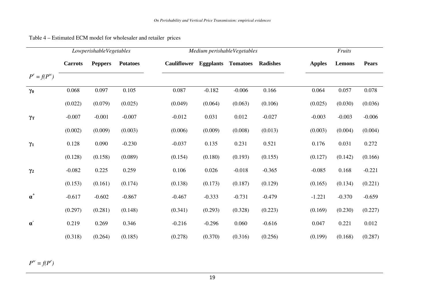| Table 4 – Estimated ECM model for wholesaler and retailer prices |  |
|------------------------------------------------------------------|--|
|------------------------------------------------------------------|--|

|                    |                | LowperishableVegetables |                 |                    | Medium perishableVegetables |                 |                 |               |               | Fruits       |  |  |  |
|--------------------|----------------|-------------------------|-----------------|--------------------|-----------------------------|-----------------|-----------------|---------------|---------------|--------------|--|--|--|
|                    | <b>Carrots</b> | <b>Peppers</b>          | <b>Potatoes</b> | <b>Cauliflower</b> | <b>Eggplants</b>            | <b>Tomatoes</b> | <b>Radishes</b> | <b>Apples</b> | <b>Lemons</b> | <b>Pears</b> |  |  |  |
| $P^r = f(P^w)$     |                |                         |                 |                    |                             |                 |                 |               |               |              |  |  |  |
| $\gamma_0$         | 0.068          | 0.097                   | 0.105           | 0.087              | $-0.182$                    | $-0.006$        | 0.166           | 0.064         | 0.057         | 0.078        |  |  |  |
|                    | (0.022)        | (0.079)                 | (0.025)         | (0.049)            | (0.064)                     | (0.063)         | (0.106)         | (0.025)       | (0.030)       | (0.036)      |  |  |  |
| $\gamma_T$         | $-0.007$       | $-0.001$                | $-0.007$        | $-0.012$           | 0.031                       | 0.012           | $-0.027$        | $-0.003$      | $-0.003$      | $-0.006$     |  |  |  |
|                    | (0.002)        | (0.009)                 | (0.003)         | (0.006)            | (0.009)                     | (0.008)         | (0.013)         | (0.003)       | (0.004)       | (0.004)      |  |  |  |
| $\gamma_1$         | 0.128          | 0.090                   | $-0.230$        | $-0.037$           | 0.135                       | 0.231           | 0.521           | 0.176         | 0.031         | 0.272        |  |  |  |
|                    | (0.128)        | (0.158)                 | (0.089)         | (0.154)            | (0.180)                     | (0.193)         | (0.155)         | (0.127)       | (0.142)       | (0.166)      |  |  |  |
| $\gamma_2$         | $-0.082$       | 0.225                   | 0.259           | 0.106              | 0.026                       | $-0.018$        | $-0.365$        | $-0.085$      | 0.168         | $-0.221$     |  |  |  |
|                    | (0.153)        | (0.161)                 | (0.174)         | (0.138)            | (0.173)                     | (0.187)         | (0.129)         | (0.165)       | (0.134)       | (0.221)      |  |  |  |
| $\boldsymbol{a}^+$ | $-0.617$       | $-0.602$                | $-0.867$        | $-0.467$           | $-0.333$                    | $-0.731$        | $-0.479$        | $-1.221$      | $-0.370$      | $-0.659$     |  |  |  |
|                    | (0.297)        | (0.281)                 | (0.148)         | (0.341)            | (0.293)                     | (0.328)         | (0.223)         | (0.169)       | (0.230)       | (0.227)      |  |  |  |
| $\mathbf{a}$       | 0.219          | 0.269                   | 0.346           | $-0.216$           | $-0.296$                    | 0.060           | $-0.616$        | 0.047         | 0.221         | 0.012        |  |  |  |
|                    | (0.318)        | (0.264)                 | (0.185)         | (0.278)            | (0.370)                     | (0.316)         | (0.256)         | (0.199)       | (0.168)       | (0.287)      |  |  |  |

 $P^w = f(P^r)$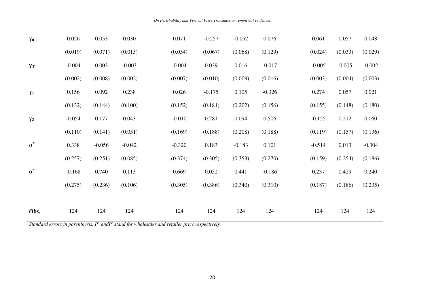| $\gamma_0$              | 0.026    | 0.053    | 0.030    | 0.071    | $-0.257$ | $-0.052$ | 0.076    | 0.061    | 0.057    | 0.048    |
|-------------------------|----------|----------|----------|----------|----------|----------|----------|----------|----------|----------|
|                         | (0.019)  | (0.071)  | (0.015)  | (0.054)  | (0.067)  | (0.068)  | (0.129)  | (0.024)  | (0.033)  | (0.029)  |
| $\gamma_T$              | $-0.004$ | 0.003    | $-0.003$ | $-0.004$ | 0.039    | 0.016    | $-0.017$ | $-0.005$ | $-0.005$ | $-0.002$ |
|                         | (0.002)  | (0.008)  | (0.002)  | (0.007)  | (0.010)  | (0.009)  | (0.016)  | (0.003)  | (0.004)  | (0.003)  |
| $\gamma_1$              | 0.156    | 0.092    | 0.238    | 0.026    | $-0.175$ | 0.105    | $-0.326$ | 0.274    | 0.057    | 0.021    |
|                         | (0.132)  | (0.144)  | (0.100)  | (0.152)  | (0.181)  | (0.202)  | (0.156)  | (0.155)  | (0.148)  | (0.180)  |
| $\gamma_2$              | $-0.054$ | 0.177    | 0.043    | $-0.010$ | 0.281    | 0.094    | 0.506    | $-0.155$ | 0.212    | 0.060    |
|                         | (0.110)  | (0.141)  | (0.051)  | (0.169)  | (0.188)  | (0.208)  | (0.188)  | (0.119)  | (0.157)  | (0.136)  |
| $\boldsymbol{\alpha}^+$ | 0.338    | $-0.056$ | $-0.042$ | $-0.320$ | 0.183    | $-0.183$ | 0.101    | $-0.514$ | 0.013    | $-0.304$ |
|                         | (0.257)  | (0.251)  | (0.085)  | (0.374)  | (0.305)  | (0.353)  | (0.270)  | (0.159)  | (0.254)  | (0.186)  |
| $\mathbf{a}$            | $-0.168$ | 0.740    | 0.113    | 0.669    | 0.052    | 0.441    | $-0.186$ | 0.237    | 0.429    | 0.240    |
|                         | (0.275)  | (0.236)  | (0.106)  | (0.305)  | (0.386)  | (0.340)  | (0.310)  | (0.187)  | (0.186)  | (0.235)  |
|                         |          |          |          |          |          |          |          |          |          |          |
| Obs.                    | 124      | 124      | 124      | 124      | 124      | 124      | 124      | 124      | 124      | 124      |

*Standard errors in parenthesis.*  $P^w$ *andP<sup><i>r*</sup> stand for wholesaler and retailer price respectively.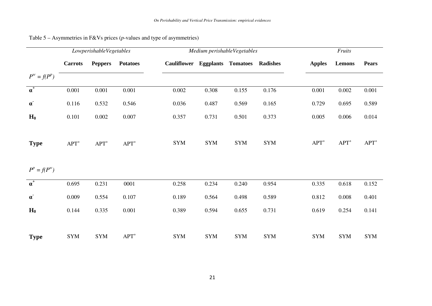|                    |                | LowperishableVegetables |                 |                              | Medium perishableVegetables |                 |                 |               | Fruits           |              |
|--------------------|----------------|-------------------------|-----------------|------------------------------|-----------------------------|-----------------|-----------------|---------------|------------------|--------------|
|                    | <b>Carrots</b> | <b>Peppers</b>          | <b>Potatoes</b> | <b>Cauliflower</b> Eggplants |                             | <b>Tomatoes</b> | <b>Radishes</b> | <b>Apples</b> | <b>Lemons</b>    | <b>Pears</b> |
| $P^w = f(P^p)$     |                |                         |                 |                              |                             |                 |                 |               |                  |              |
| $\alpha^+$         | 0.001          | 0.001                   | $0.001\,$       | 0.002                        | 0.308                       | 0.155           | 0.176           | 0.001         | 0.002            | 0.001        |
| $\mathbf{a}$       | 0.116          | 0.532                   | 0.546           | 0.036                        | 0.487                       | 0.569           | 0.165           | 0.729         | 0.695            | 0.589        |
| $H_0$              | 0.101          | 0.002                   | 0.007           | 0.357                        | 0.731                       | 0.501           | 0.373           | 0.005         | 0.006            | 0.014        |
| <b>Type</b>        | $\mbox{APT}^+$ | $\mbox{APT}^+$          | $APT^+$         | <b>SYM</b>                   | <b>SYM</b>                  | <b>SYM</b>      | <b>SYM</b>      | $APT^+$       | $\mathrm{APT}^+$ | $APT^+$      |
| $P^{p} = f(P^{w})$ |                |                         |                 |                              |                             |                 |                 |               |                  |              |
| $\alpha^+$         | 0.695          | 0.231                   | 0001            | 0.258                        | 0.234                       | 0.240           | 0.954           | 0.335         | 0.618            | 0.152        |
| $\mathbf{a}$       | 0.009          | 0.554                   | 0.107           | 0.189                        | 0.564                       | 0.498           | 0.589           | 0.812         | 0.008            | 0.401        |
| $H_0$              | 0.144          | 0.335                   | 0.001           | 0.389                        | 0.594                       | 0.655           | 0.731           | 0.619         | 0.254            | 0.141        |
|                    |                |                         |                 |                              |                             |                 |                 |               |                  |              |
| <b>Type</b>        | <b>SYM</b>     | <b>SYM</b>              | $APT^+$         | <b>SYM</b>                   | <b>SYM</b>                  | <b>SYM</b>      | <b>SYM</b>      | <b>SYM</b>    | <b>SYM</b>       | <b>SYM</b>   |

Table 5 – Asymmetries in F&Vs prices (*p*-values and type of asymmetries)